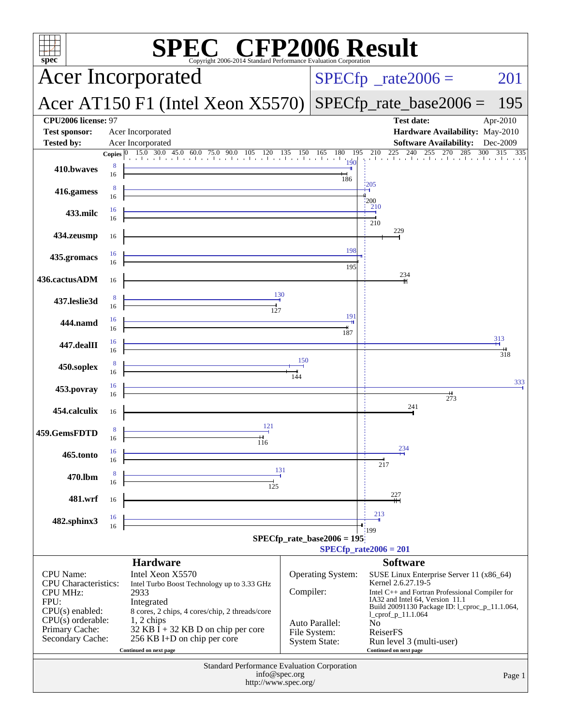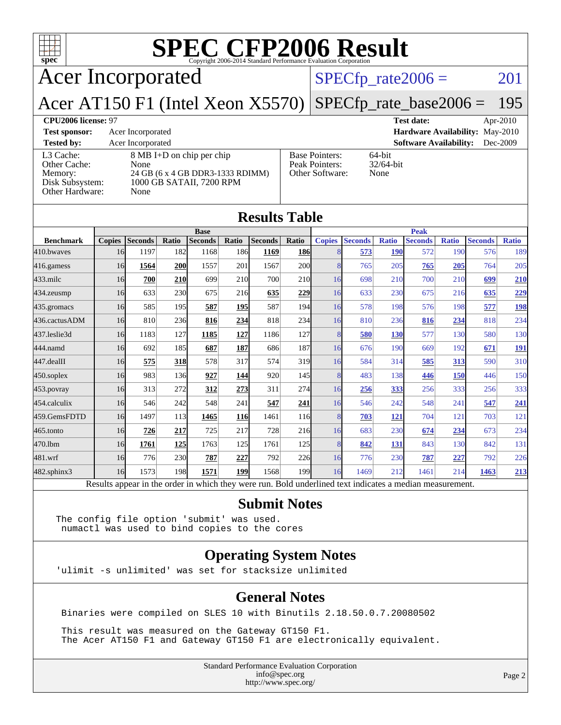| <b>SPEC CFP2006 Result</b><br>Copyright 2006-2014 Standard Performance Evaluation Corporation<br>$spec^*$ |                                                                                                           |                      |                                                            |                                 |  |          |  |  |  |
|-----------------------------------------------------------------------------------------------------------|-----------------------------------------------------------------------------------------------------------|----------------------|------------------------------------------------------------|---------------------------------|--|----------|--|--|--|
|                                                                                                           | <b>Acer Incorporated</b>                                                                                  | $SPECfp\_rate2006 =$ | 201                                                        |                                 |  |          |  |  |  |
| Acer AT150 F1 (Intel Xeon X5570)<br>$SPECfp_rate\_base2006 =$<br>195                                      |                                                                                                           |                      |                                                            |                                 |  |          |  |  |  |
| CPU2006 license: 97                                                                                       |                                                                                                           |                      |                                                            | <b>Test date:</b>               |  | Apr-2010 |  |  |  |
| <b>Test sponsor:</b>                                                                                      | Acer Incorporated                                                                                         |                      |                                                            | Hardware Availability: May-2010 |  |          |  |  |  |
| <b>Tested by:</b>                                                                                         | Acer Incorporated                                                                                         |                      |                                                            | <b>Software Availability:</b>   |  | Dec-2009 |  |  |  |
| L3 Cache:<br>Other Cache:<br>Memory:<br>Disk Subsystem:<br>Other Hardware:                                | 8 MB I+D on chip per chip<br>None<br>24 GB (6 x 4 GB DDR3-1333 RDIMM)<br>1000 GB SATAII, 7200 RPM<br>None |                      | <b>Base Pointers:</b><br>Peak Pointers:<br>Other Software: | 64-bit<br>$32/64$ -bit<br>None  |  |          |  |  |  |
| <b>Results Table</b>                                                                                      |                                                                                                           |                      |                                                            |                                 |  |          |  |  |  |

|                  |               |                |       | <b>Base</b>                                                                                              |       |                |            |               |                |              | <b>Peak</b>    |              |                |              |
|------------------|---------------|----------------|-------|----------------------------------------------------------------------------------------------------------|-------|----------------|------------|---------------|----------------|--------------|----------------|--------------|----------------|--------------|
| <b>Benchmark</b> | <b>Copies</b> | <b>Seconds</b> | Ratio | <b>Seconds</b>                                                                                           | Ratio | <b>Seconds</b> | Ratio      | <b>Copies</b> | <b>Seconds</b> | <b>Ratio</b> | <b>Seconds</b> | <b>Ratio</b> | <b>Seconds</b> | <b>Ratio</b> |
| 410.bwayes       | 16            | 1197           | 182   | 1168                                                                                                     | 186   | 1169           | <b>186</b> | 8             | 573            | <b>190</b>   | 572            | 190          | 576            | 189          |
| 416.gamess       | 16            | 1564           | 200   | 1557                                                                                                     | 201   | 1567           | <b>200</b> | 8             | 765            | 205          | 765            | 205          | 764            | 205          |
| $433$ .milc      | 16            | 700            | 210   | 699                                                                                                      | 210   | 700            | 210        | 16            | 698            | 210          | 700            | 210          | 699            | 210          |
| $434$ . zeusmp   | 16            | 633            | 230   | 675                                                                                                      | 216   | 635            | 229        | 16            | 633            | 230          | 675            | 216          | 635            | 229          |
| 435.gromacs      | 16            | 585            | 195   | 587                                                                                                      | 195   | 587            | 194        | 16            | 578            | 198          | 576            | 198          | 577            | <b>198</b>   |
| 436.cactusADM    | 16            | 810            | 236   | 816                                                                                                      | 234   | 818            | 234        | 16            | 810            | 236          | 816            | 234          | 818            | 234          |
| 437.leslie3d     | 16            | 1183           | 127   | 1185                                                                                                     | 127   | 1186           | 127        | 8             | 580            | 130          | 577            | 130          | 580            | 130          |
| 444.namd         | 16            | 692            | 185   | 687                                                                                                      | 187   | 686            | 187        | 16            | 676            | 190          | 669            | 192          | 671            | <u>191</u>   |
| $447$ .dealII    | 16            | 575            | 318   | 578                                                                                                      | 317   | 574            | 319        | 16            | 584            | 314          | 585            | 313          | 590            | 310          |
| $450$ .soplex    | 16            | 983            | 136   | 927                                                                                                      | 144   | 920            | 145        | 8             | 483            | 138          | 446            | 150          | 446            | 150          |
| 453.povray       | 16            | 313            | 272   | 312                                                                                                      | 273   | 311            | 274        | 16            | 256            | 333          | 256            | 333          | 256            | 333          |
| 454.calculix     | 16            | 546            | 242   | 548                                                                                                      | 241   | 547            | 241        | 16            | 546            | 242          | 548            | 241          | 547            | 241          |
| 459.GemsFDTD     | 16            | 1497           | 113   | 1465                                                                                                     | 116   | 1461           | 116        | 8             | 703            | 121          | 704            | 121          | 703            | 121          |
| $465$ .tonto     | 16            | 726            | 217   | 725                                                                                                      | 217   | 728            | 216        | 16            | 683            | 230          | 674            | 234          | 673            | 234          |
| 470.lbm          | 16            | 1761           | 125   | 1763                                                                                                     | 125   | 1761           | 125        | 8             | 842            | 131          | 843            | 130          | 842            | 131          |
| 481.wrf          | 16            | 776            | 230   | 787                                                                                                      | 227   | 792            | 226        | 16            | 776            | 230          | 787            | 227          | 792            | 226          |
| 482.sphinx3      | 16            | 1573           | 198   | 1571                                                                                                     | 199   | 1568           | 199        | 16            | 1469           | 212          | 1461           | 214          | 1463           | 213          |
|                  |               |                |       | Results appear in the order in which they were run. Bold underlined text indicates a median measurement. |       |                |            |               |                |              |                |              |                |              |

### **[Submit Notes](http://www.spec.org/auto/cpu2006/Docs/result-fields.html#SubmitNotes)**

The config file option 'submit' was used. numactl was used to bind copies to the cores

### **[Operating System Notes](http://www.spec.org/auto/cpu2006/Docs/result-fields.html#OperatingSystemNotes)**

'ulimit -s unlimited' was set for stacksize unlimited

### **[General Notes](http://www.spec.org/auto/cpu2006/Docs/result-fields.html#GeneralNotes)**

Binaries were compiled on SLES 10 with Binutils 2.18.50.0.7.20080502

 This result was measured on the Gateway GT150 F1. The Acer AT150 F1 and Gateway GT150 F1 are electronically equivalent.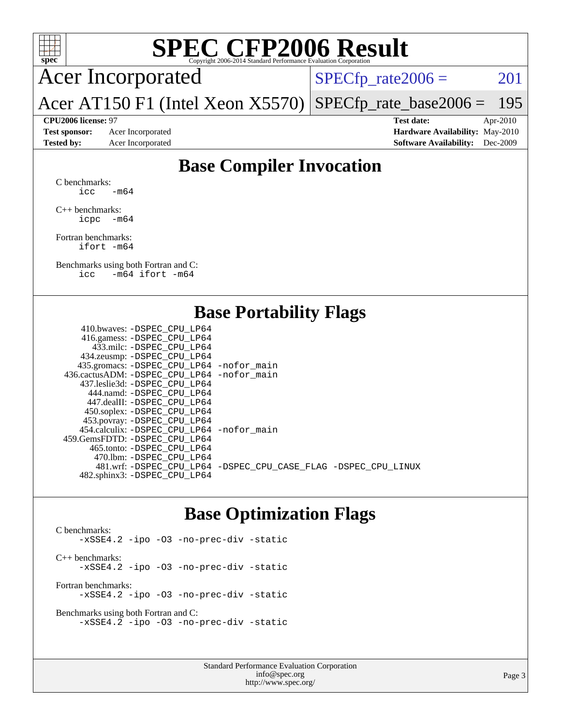

Acer Incorporated

 $SPECTp_rate2006 = 201$ 

Acer AT150 F1 (Intel Xeon X5570) [SPECfp\\_rate\\_base2006 =](http://www.spec.org/auto/cpu2006/Docs/result-fields.html#SPECfpratebase2006) 195

**[CPU2006 license:](http://www.spec.org/auto/cpu2006/Docs/result-fields.html#CPU2006license)** 97 **[Test date:](http://www.spec.org/auto/cpu2006/Docs/result-fields.html#Testdate)** Apr-2010 **[Test sponsor:](http://www.spec.org/auto/cpu2006/Docs/result-fields.html#Testsponsor)** Acer Incorporated **[Hardware Availability:](http://www.spec.org/auto/cpu2006/Docs/result-fields.html#HardwareAvailability)** May-2010 **[Tested by:](http://www.spec.org/auto/cpu2006/Docs/result-fields.html#Testedby)** Acer Incorporated **[Software Availability:](http://www.spec.org/auto/cpu2006/Docs/result-fields.html#SoftwareAvailability)** Dec-2009

### **[Base Compiler Invocation](http://www.spec.org/auto/cpu2006/Docs/result-fields.html#BaseCompilerInvocation)**

[C benchmarks](http://www.spec.org/auto/cpu2006/Docs/result-fields.html#Cbenchmarks): icc  $-m64$ 

[C++ benchmarks:](http://www.spec.org/auto/cpu2006/Docs/result-fields.html#CXXbenchmarks) [icpc -m64](http://www.spec.org/cpu2006/results/res2010q3/cpu2006-20100608-11691.flags.html#user_CXXbase_intel_icpc_64bit_bedb90c1146cab66620883ef4f41a67e)

[Fortran benchmarks](http://www.spec.org/auto/cpu2006/Docs/result-fields.html#Fortranbenchmarks): [ifort -m64](http://www.spec.org/cpu2006/results/res2010q3/cpu2006-20100608-11691.flags.html#user_FCbase_intel_ifort_64bit_ee9d0fb25645d0210d97eb0527dcc06e)

[Benchmarks using both Fortran and C](http://www.spec.org/auto/cpu2006/Docs/result-fields.html#BenchmarksusingbothFortranandC): [icc -m64](http://www.spec.org/cpu2006/results/res2010q3/cpu2006-20100608-11691.flags.html#user_CC_FCbase_intel_icc_64bit_0b7121f5ab7cfabee23d88897260401c) [ifort -m64](http://www.spec.org/cpu2006/results/res2010q3/cpu2006-20100608-11691.flags.html#user_CC_FCbase_intel_ifort_64bit_ee9d0fb25645d0210d97eb0527dcc06e)

### **[Base Portability Flags](http://www.spec.org/auto/cpu2006/Docs/result-fields.html#BasePortabilityFlags)**

| 410.bwaves: -DSPEC CPU LP64                  |                                                                |
|----------------------------------------------|----------------------------------------------------------------|
| 416.gamess: -DSPEC_CPU_LP64                  |                                                                |
| 433.milc: -DSPEC CPU LP64                    |                                                                |
| 434.zeusmp: -DSPEC_CPU_LP64                  |                                                                |
| 435.gromacs: -DSPEC_CPU_LP64 -nofor_main     |                                                                |
| 436.cactusADM: - DSPEC CPU LP64 - nofor main |                                                                |
| 437.leslie3d: -DSPEC CPU LP64                |                                                                |
| 444.namd: -DSPEC CPU LP64                    |                                                                |
| 447.dealII: - DSPEC CPU LP64                 |                                                                |
| 450.soplex: -DSPEC_CPU_LP64                  |                                                                |
| 453.povray: -DSPEC_CPU_LP64                  |                                                                |
| 454.calculix: -DSPEC CPU LP64 -nofor main    |                                                                |
| 459.GemsFDTD: - DSPEC_CPU LP64               |                                                                |
| 465.tonto: - DSPEC CPU LP64                  |                                                                |
| 470.1bm: -DSPEC CPU LP64                     |                                                                |
|                                              | 481.wrf: -DSPEC CPU_LP64 -DSPEC_CPU_CASE_FLAG -DSPEC_CPU_LINUX |
| 482.sphinx3: -DSPEC_CPU_LP64                 |                                                                |
|                                              |                                                                |

### **[Base Optimization Flags](http://www.spec.org/auto/cpu2006/Docs/result-fields.html#BaseOptimizationFlags)**

[C benchmarks](http://www.spec.org/auto/cpu2006/Docs/result-fields.html#Cbenchmarks): [-xSSE4.2](http://www.spec.org/cpu2006/results/res2010q3/cpu2006-20100608-11691.flags.html#user_CCbase_f-xSSE42_f91528193cf0b216347adb8b939d4107) [-ipo](http://www.spec.org/cpu2006/results/res2010q3/cpu2006-20100608-11691.flags.html#user_CCbase_f-ipo) [-O3](http://www.spec.org/cpu2006/results/res2010q3/cpu2006-20100608-11691.flags.html#user_CCbase_f-O3) [-no-prec-div](http://www.spec.org/cpu2006/results/res2010q3/cpu2006-20100608-11691.flags.html#user_CCbase_f-no-prec-div) [-static](http://www.spec.org/cpu2006/results/res2010q3/cpu2006-20100608-11691.flags.html#user_CCbase_f-static) [C++ benchmarks:](http://www.spec.org/auto/cpu2006/Docs/result-fields.html#CXXbenchmarks) [-xSSE4.2](http://www.spec.org/cpu2006/results/res2010q3/cpu2006-20100608-11691.flags.html#user_CXXbase_f-xSSE42_f91528193cf0b216347adb8b939d4107) [-ipo](http://www.spec.org/cpu2006/results/res2010q3/cpu2006-20100608-11691.flags.html#user_CXXbase_f-ipo) [-O3](http://www.spec.org/cpu2006/results/res2010q3/cpu2006-20100608-11691.flags.html#user_CXXbase_f-O3) [-no-prec-div](http://www.spec.org/cpu2006/results/res2010q3/cpu2006-20100608-11691.flags.html#user_CXXbase_f-no-prec-div) [-static](http://www.spec.org/cpu2006/results/res2010q3/cpu2006-20100608-11691.flags.html#user_CXXbase_f-static) [Fortran benchmarks](http://www.spec.org/auto/cpu2006/Docs/result-fields.html#Fortranbenchmarks): [-xSSE4.2](http://www.spec.org/cpu2006/results/res2010q3/cpu2006-20100608-11691.flags.html#user_FCbase_f-xSSE42_f91528193cf0b216347adb8b939d4107) [-ipo](http://www.spec.org/cpu2006/results/res2010q3/cpu2006-20100608-11691.flags.html#user_FCbase_f-ipo) [-O3](http://www.spec.org/cpu2006/results/res2010q3/cpu2006-20100608-11691.flags.html#user_FCbase_f-O3) [-no-prec-div](http://www.spec.org/cpu2006/results/res2010q3/cpu2006-20100608-11691.flags.html#user_FCbase_f-no-prec-div) [-static](http://www.spec.org/cpu2006/results/res2010q3/cpu2006-20100608-11691.flags.html#user_FCbase_f-static)

[Benchmarks using both Fortran and C](http://www.spec.org/auto/cpu2006/Docs/result-fields.html#BenchmarksusingbothFortranandC): [-xSSE4.2](http://www.spec.org/cpu2006/results/res2010q3/cpu2006-20100608-11691.flags.html#user_CC_FCbase_f-xSSE42_f91528193cf0b216347adb8b939d4107) [-ipo](http://www.spec.org/cpu2006/results/res2010q3/cpu2006-20100608-11691.flags.html#user_CC_FCbase_f-ipo) [-O3](http://www.spec.org/cpu2006/results/res2010q3/cpu2006-20100608-11691.flags.html#user_CC_FCbase_f-O3) [-no-prec-div](http://www.spec.org/cpu2006/results/res2010q3/cpu2006-20100608-11691.flags.html#user_CC_FCbase_f-no-prec-div) [-static](http://www.spec.org/cpu2006/results/res2010q3/cpu2006-20100608-11691.flags.html#user_CC_FCbase_f-static)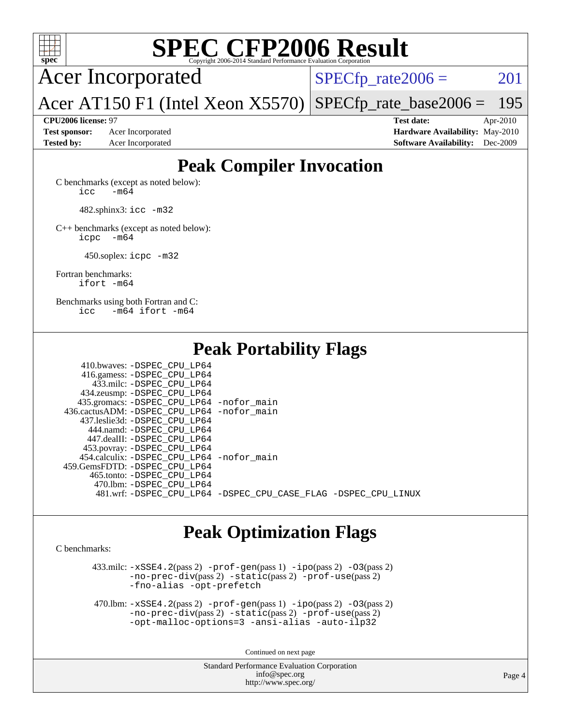

Acer Incorporated

 $SPECTp_rate2006 = 201$ 

Acer AT150 F1 (Intel Xeon X5570) [SPECfp\\_rate\\_base2006 =](http://www.spec.org/auto/cpu2006/Docs/result-fields.html#SPECfpratebase2006) 195

**[CPU2006 license:](http://www.spec.org/auto/cpu2006/Docs/result-fields.html#CPU2006license)** 97 **[Test date:](http://www.spec.org/auto/cpu2006/Docs/result-fields.html#Testdate)** Apr-2010 **[Test sponsor:](http://www.spec.org/auto/cpu2006/Docs/result-fields.html#Testsponsor)** Acer Incorporated **[Hardware Availability:](http://www.spec.org/auto/cpu2006/Docs/result-fields.html#HardwareAvailability)** May-2010 **[Tested by:](http://www.spec.org/auto/cpu2006/Docs/result-fields.html#Testedby)** Acer Incorporated **[Software Availability:](http://www.spec.org/auto/cpu2006/Docs/result-fields.html#SoftwareAvailability)** Dec-2009

## **[Peak Compiler Invocation](http://www.spec.org/auto/cpu2006/Docs/result-fields.html#PeakCompilerInvocation)**

[C benchmarks \(except as noted below\)](http://www.spec.org/auto/cpu2006/Docs/result-fields.html#Cbenchmarksexceptasnotedbelow):  $\text{icc}$   $-\text{m64}$ 

482.sphinx3: [icc -m32](http://www.spec.org/cpu2006/results/res2010q3/cpu2006-20100608-11691.flags.html#user_peakCCLD482_sphinx3_intel_icc_32bit_a6a621f8d50482236b970c6ac5f55f93)

[C++ benchmarks \(except as noted below\):](http://www.spec.org/auto/cpu2006/Docs/result-fields.html#CXXbenchmarksexceptasnotedbelow) [icpc -m64](http://www.spec.org/cpu2006/results/res2010q3/cpu2006-20100608-11691.flags.html#user_CXXpeak_intel_icpc_64bit_bedb90c1146cab66620883ef4f41a67e)

450.soplex: [icpc -m32](http://www.spec.org/cpu2006/results/res2010q3/cpu2006-20100608-11691.flags.html#user_peakCXXLD450_soplex_intel_icpc_32bit_4e5a5ef1a53fd332b3c49e69c3330699)

[Fortran benchmarks](http://www.spec.org/auto/cpu2006/Docs/result-fields.html#Fortranbenchmarks): [ifort -m64](http://www.spec.org/cpu2006/results/res2010q3/cpu2006-20100608-11691.flags.html#user_FCpeak_intel_ifort_64bit_ee9d0fb25645d0210d97eb0527dcc06e)

[Benchmarks using both Fortran and C](http://www.spec.org/auto/cpu2006/Docs/result-fields.html#BenchmarksusingbothFortranandC): [icc -m64](http://www.spec.org/cpu2006/results/res2010q3/cpu2006-20100608-11691.flags.html#user_CC_FCpeak_intel_icc_64bit_0b7121f5ab7cfabee23d88897260401c) [ifort -m64](http://www.spec.org/cpu2006/results/res2010q3/cpu2006-20100608-11691.flags.html#user_CC_FCpeak_intel_ifort_64bit_ee9d0fb25645d0210d97eb0527dcc06e)

### **[Peak Portability Flags](http://www.spec.org/auto/cpu2006/Docs/result-fields.html#PeakPortabilityFlags)**

## **[Peak Optimization Flags](http://www.spec.org/auto/cpu2006/Docs/result-fields.html#PeakOptimizationFlags)**

[C benchmarks](http://www.spec.org/auto/cpu2006/Docs/result-fields.html#Cbenchmarks):

 $433 \text{.}$ milc:  $-xSSE4$ .  $2(\text{pass 2})$  - $\text{prof-gen}(\text{pass 1})$  - $\text{ipo}(\text{pass 2})$  - $03(\text{pass 2})$ [-no-prec-div](http://www.spec.org/cpu2006/results/res2010q3/cpu2006-20100608-11691.flags.html#user_peakPASS2_CFLAGSPASS2_LDFLAGS433_milc_f-no-prec-div)(pass 2) [-static](http://www.spec.org/cpu2006/results/res2010q3/cpu2006-20100608-11691.flags.html#user_peakPASS2_CFLAGSPASS2_LDFLAGS433_milc_f-static)(pass 2) [-prof-use](http://www.spec.org/cpu2006/results/res2010q3/cpu2006-20100608-11691.flags.html#user_peakPASS2_CFLAGSPASS2_LDFLAGS433_milc_prof_use_bccf7792157ff70d64e32fe3e1250b55)(pass 2) [-fno-alias](http://www.spec.org/cpu2006/results/res2010q3/cpu2006-20100608-11691.flags.html#user_peakOPTIMIZE433_milc_f-no-alias_694e77f6c5a51e658e82ccff53a9e63a) [-opt-prefetch](http://www.spec.org/cpu2006/results/res2010q3/cpu2006-20100608-11691.flags.html#user_peakOPTIMIZE433_milc_f-opt-prefetch)

 470.lbm: [-xSSE4.2](http://www.spec.org/cpu2006/results/res2010q3/cpu2006-20100608-11691.flags.html#user_peakPASS2_CFLAGSPASS2_LDFLAGS470_lbm_f-xSSE42_f91528193cf0b216347adb8b939d4107)(pass 2) [-prof-gen](http://www.spec.org/cpu2006/results/res2010q3/cpu2006-20100608-11691.flags.html#user_peakPASS1_CFLAGSPASS1_LDFLAGS470_lbm_prof_gen_e43856698f6ca7b7e442dfd80e94a8fc)(pass 1) [-ipo](http://www.spec.org/cpu2006/results/res2010q3/cpu2006-20100608-11691.flags.html#user_peakPASS2_CFLAGSPASS2_LDFLAGS470_lbm_f-ipo)(pass 2) [-O3](http://www.spec.org/cpu2006/results/res2010q3/cpu2006-20100608-11691.flags.html#user_peakPASS2_CFLAGSPASS2_LDFLAGS470_lbm_f-O3)(pass 2) [-no-prec-div](http://www.spec.org/cpu2006/results/res2010q3/cpu2006-20100608-11691.flags.html#user_peakPASS2_CFLAGSPASS2_LDFLAGS470_lbm_f-no-prec-div)(pass 2) [-static](http://www.spec.org/cpu2006/results/res2010q3/cpu2006-20100608-11691.flags.html#user_peakPASS2_CFLAGSPASS2_LDFLAGS470_lbm_f-static)(pass 2) [-prof-use](http://www.spec.org/cpu2006/results/res2010q3/cpu2006-20100608-11691.flags.html#user_peakPASS2_CFLAGSPASS2_LDFLAGS470_lbm_prof_use_bccf7792157ff70d64e32fe3e1250b55)(pass 2) [-opt-malloc-options=3](http://www.spec.org/cpu2006/results/res2010q3/cpu2006-20100608-11691.flags.html#user_peakOPTIMIZE470_lbm_f-opt-malloc-options_13ab9b803cf986b4ee62f0a5998c2238) [-ansi-alias](http://www.spec.org/cpu2006/results/res2010q3/cpu2006-20100608-11691.flags.html#user_peakOPTIMIZE470_lbm_f-ansi-alias) [-auto-ilp32](http://www.spec.org/cpu2006/results/res2010q3/cpu2006-20100608-11691.flags.html#user_peakCOPTIMIZE470_lbm_f-auto-ilp32)

Continued on next page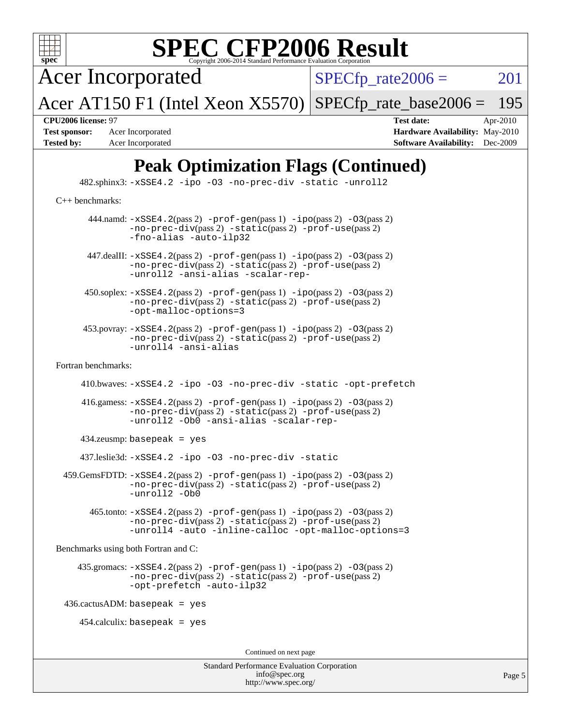

Acer Incorporated

 $SPECTp_rate2006 = 201$ 

Acer AT150 F1 (Intel Xeon X5570) [SPECfp\\_rate\\_base2006 =](http://www.spec.org/auto/cpu2006/Docs/result-fields.html#SPECfpratebase2006) 195

**[Test sponsor:](http://www.spec.org/auto/cpu2006/Docs/result-fields.html#Testsponsor)** Acer Incorporated **[Hardware Availability:](http://www.spec.org/auto/cpu2006/Docs/result-fields.html#HardwareAvailability)** May-2010 **[Tested by:](http://www.spec.org/auto/cpu2006/Docs/result-fields.html#Testedby)** Acer Incorporated **[Software Availability:](http://www.spec.org/auto/cpu2006/Docs/result-fields.html#SoftwareAvailability)** Dec-2009

**[CPU2006 license:](http://www.spec.org/auto/cpu2006/Docs/result-fields.html#CPU2006license)** 97 **[Test date:](http://www.spec.org/auto/cpu2006/Docs/result-fields.html#Testdate)** Apr-2010

## **[Peak Optimization Flags \(Continued\)](http://www.spec.org/auto/cpu2006/Docs/result-fields.html#PeakOptimizationFlags)**

 482.sphinx3: [-xSSE4.2](http://www.spec.org/cpu2006/results/res2010q3/cpu2006-20100608-11691.flags.html#user_peakOPTIMIZE482_sphinx3_f-xSSE42_f91528193cf0b216347adb8b939d4107) [-ipo](http://www.spec.org/cpu2006/results/res2010q3/cpu2006-20100608-11691.flags.html#user_peakOPTIMIZE482_sphinx3_f-ipo) [-O3](http://www.spec.org/cpu2006/results/res2010q3/cpu2006-20100608-11691.flags.html#user_peakOPTIMIZE482_sphinx3_f-O3) [-no-prec-div](http://www.spec.org/cpu2006/results/res2010q3/cpu2006-20100608-11691.flags.html#user_peakOPTIMIZE482_sphinx3_f-no-prec-div) [-static](http://www.spec.org/cpu2006/results/res2010q3/cpu2006-20100608-11691.flags.html#user_peakOPTIMIZE482_sphinx3_f-static) [-unroll2](http://www.spec.org/cpu2006/results/res2010q3/cpu2006-20100608-11691.flags.html#user_peakCOPTIMIZE482_sphinx3_f-unroll_784dae83bebfb236979b41d2422d7ec2) [C++ benchmarks:](http://www.spec.org/auto/cpu2006/Docs/result-fields.html#CXXbenchmarks) 444.namd:  $-xSSE4$ . 2(pass 2)  $-prof-gen(pass 1) -ipo(pass 2) -O3(pass 2)$  $-prof-gen(pass 1) -ipo(pass 2) -O3(pass 2)$  $-prof-gen(pass 1) -ipo(pass 2) -O3(pass 2)$  $-prof-gen(pass 1) -ipo(pass 2) -O3(pass 2)$  $-prof-gen(pass 1) -ipo(pass 2) -O3(pass 2)$  $-prof-gen(pass 1) -ipo(pass 2) -O3(pass 2)$ [-no-prec-div](http://www.spec.org/cpu2006/results/res2010q3/cpu2006-20100608-11691.flags.html#user_peakPASS2_CXXFLAGSPASS2_LDFLAGS444_namd_f-no-prec-div)(pass 2) [-static](http://www.spec.org/cpu2006/results/res2010q3/cpu2006-20100608-11691.flags.html#user_peakPASS2_CXXFLAGSPASS2_LDFLAGS444_namd_f-static)(pass 2) [-prof-use](http://www.spec.org/cpu2006/results/res2010q3/cpu2006-20100608-11691.flags.html#user_peakPASS2_CXXFLAGSPASS2_LDFLAGS444_namd_prof_use_bccf7792157ff70d64e32fe3e1250b55)(pass 2) [-fno-alias](http://www.spec.org/cpu2006/results/res2010q3/cpu2006-20100608-11691.flags.html#user_peakCXXOPTIMIZE444_namd_f-no-alias_694e77f6c5a51e658e82ccff53a9e63a) [-auto-ilp32](http://www.spec.org/cpu2006/results/res2010q3/cpu2006-20100608-11691.flags.html#user_peakCXXOPTIMIZE444_namd_f-auto-ilp32) 447.dealII: [-xSSE4.2](http://www.spec.org/cpu2006/results/res2010q3/cpu2006-20100608-11691.flags.html#user_peakPASS2_CXXFLAGSPASS2_LDFLAGS447_dealII_f-xSSE42_f91528193cf0b216347adb8b939d4107)(pass 2) [-prof-gen](http://www.spec.org/cpu2006/results/res2010q3/cpu2006-20100608-11691.flags.html#user_peakPASS1_CXXFLAGSPASS1_LDFLAGS447_dealII_prof_gen_e43856698f6ca7b7e442dfd80e94a8fc)(pass 1) [-ipo](http://www.spec.org/cpu2006/results/res2010q3/cpu2006-20100608-11691.flags.html#user_peakPASS2_CXXFLAGSPASS2_LDFLAGS447_dealII_f-ipo)(pass 2) [-O3](http://www.spec.org/cpu2006/results/res2010q3/cpu2006-20100608-11691.flags.html#user_peakPASS2_CXXFLAGSPASS2_LDFLAGS447_dealII_f-O3)(pass 2) [-no-prec-div](http://www.spec.org/cpu2006/results/res2010q3/cpu2006-20100608-11691.flags.html#user_peakPASS2_CXXFLAGSPASS2_LDFLAGS447_dealII_f-no-prec-div)(pass 2) [-static](http://www.spec.org/cpu2006/results/res2010q3/cpu2006-20100608-11691.flags.html#user_peakPASS2_CXXFLAGSPASS2_LDFLAGS447_dealII_f-static)(pass 2) [-prof-use](http://www.spec.org/cpu2006/results/res2010q3/cpu2006-20100608-11691.flags.html#user_peakPASS2_CXXFLAGSPASS2_LDFLAGS447_dealII_prof_use_bccf7792157ff70d64e32fe3e1250b55)(pass 2) [-unroll2](http://www.spec.org/cpu2006/results/res2010q3/cpu2006-20100608-11691.flags.html#user_peakCXXOPTIMIZE447_dealII_f-unroll_784dae83bebfb236979b41d2422d7ec2) [-ansi-alias](http://www.spec.org/cpu2006/results/res2010q3/cpu2006-20100608-11691.flags.html#user_peakCXXOPTIMIZE447_dealII_f-ansi-alias) [-scalar-rep-](http://www.spec.org/cpu2006/results/res2010q3/cpu2006-20100608-11691.flags.html#user_peakCXXOPTIMIZE447_dealII_f-disablescalarrep_abbcad04450fb118e4809c81d83c8a1d)  $450.\text{soplex: } -x\text{SSE4}.2(\text{pass 2}) -\text{prof-gen}(\text{pass 1}) - \text{ipo}(\text{pass 2}) -03(\text{pass 2})$ [-no-prec-div](http://www.spec.org/cpu2006/results/res2010q3/cpu2006-20100608-11691.flags.html#user_peakPASS2_CXXFLAGSPASS2_LDFLAGS450_soplex_f-no-prec-div)(pass 2) [-static](http://www.spec.org/cpu2006/results/res2010q3/cpu2006-20100608-11691.flags.html#user_peakPASS2_CXXFLAGSPASS2_LDFLAGS450_soplex_f-static)(pass 2) [-prof-use](http://www.spec.org/cpu2006/results/res2010q3/cpu2006-20100608-11691.flags.html#user_peakPASS2_CXXFLAGSPASS2_LDFLAGS450_soplex_prof_use_bccf7792157ff70d64e32fe3e1250b55)(pass 2) [-opt-malloc-options=3](http://www.spec.org/cpu2006/results/res2010q3/cpu2006-20100608-11691.flags.html#user_peakOPTIMIZE450_soplex_f-opt-malloc-options_13ab9b803cf986b4ee62f0a5998c2238) 453.povray: [-xSSE4.2](http://www.spec.org/cpu2006/results/res2010q3/cpu2006-20100608-11691.flags.html#user_peakPASS2_CXXFLAGSPASS2_LDFLAGS453_povray_f-xSSE42_f91528193cf0b216347adb8b939d4107)(pass 2) [-prof-gen](http://www.spec.org/cpu2006/results/res2010q3/cpu2006-20100608-11691.flags.html#user_peakPASS1_CXXFLAGSPASS1_LDFLAGS453_povray_prof_gen_e43856698f6ca7b7e442dfd80e94a8fc)(pass 1) [-ipo](http://www.spec.org/cpu2006/results/res2010q3/cpu2006-20100608-11691.flags.html#user_peakPASS2_CXXFLAGSPASS2_LDFLAGS453_povray_f-ipo)(pass 2) [-O3](http://www.spec.org/cpu2006/results/res2010q3/cpu2006-20100608-11691.flags.html#user_peakPASS2_CXXFLAGSPASS2_LDFLAGS453_povray_f-O3)(pass 2) [-no-prec-div](http://www.spec.org/cpu2006/results/res2010q3/cpu2006-20100608-11691.flags.html#user_peakPASS2_CXXFLAGSPASS2_LDFLAGS453_povray_f-no-prec-div)(pass 2) [-static](http://www.spec.org/cpu2006/results/res2010q3/cpu2006-20100608-11691.flags.html#user_peakPASS2_CXXFLAGSPASS2_LDFLAGS453_povray_f-static)(pass 2) [-prof-use](http://www.spec.org/cpu2006/results/res2010q3/cpu2006-20100608-11691.flags.html#user_peakPASS2_CXXFLAGSPASS2_LDFLAGS453_povray_prof_use_bccf7792157ff70d64e32fe3e1250b55)(pass 2) [-unroll4](http://www.spec.org/cpu2006/results/res2010q3/cpu2006-20100608-11691.flags.html#user_peakCXXOPTIMIZE453_povray_f-unroll_4e5e4ed65b7fd20bdcd365bec371b81f) [-ansi-alias](http://www.spec.org/cpu2006/results/res2010q3/cpu2006-20100608-11691.flags.html#user_peakCXXOPTIMIZE453_povray_f-ansi-alias) [Fortran benchmarks](http://www.spec.org/auto/cpu2006/Docs/result-fields.html#Fortranbenchmarks): 410.bwaves: [-xSSE4.2](http://www.spec.org/cpu2006/results/res2010q3/cpu2006-20100608-11691.flags.html#user_peakOPTIMIZE410_bwaves_f-xSSE42_f91528193cf0b216347adb8b939d4107) [-ipo](http://www.spec.org/cpu2006/results/res2010q3/cpu2006-20100608-11691.flags.html#user_peakOPTIMIZE410_bwaves_f-ipo) [-O3](http://www.spec.org/cpu2006/results/res2010q3/cpu2006-20100608-11691.flags.html#user_peakOPTIMIZE410_bwaves_f-O3) [-no-prec-div](http://www.spec.org/cpu2006/results/res2010q3/cpu2006-20100608-11691.flags.html#user_peakOPTIMIZE410_bwaves_f-no-prec-div) [-static](http://www.spec.org/cpu2006/results/res2010q3/cpu2006-20100608-11691.flags.html#user_peakOPTIMIZE410_bwaves_f-static) [-opt-prefetch](http://www.spec.org/cpu2006/results/res2010q3/cpu2006-20100608-11691.flags.html#user_peakOPTIMIZE410_bwaves_f-opt-prefetch) 416.gamess: [-xSSE4.2](http://www.spec.org/cpu2006/results/res2010q3/cpu2006-20100608-11691.flags.html#user_peakPASS2_FFLAGSPASS2_LDFLAGS416_gamess_f-xSSE42_f91528193cf0b216347adb8b939d4107)(pass 2) [-prof-gen](http://www.spec.org/cpu2006/results/res2010q3/cpu2006-20100608-11691.flags.html#user_peakPASS1_FFLAGSPASS1_LDFLAGS416_gamess_prof_gen_e43856698f6ca7b7e442dfd80e94a8fc)(pass 1) [-ipo](http://www.spec.org/cpu2006/results/res2010q3/cpu2006-20100608-11691.flags.html#user_peakPASS2_FFLAGSPASS2_LDFLAGS416_gamess_f-ipo)(pass 2) [-O3](http://www.spec.org/cpu2006/results/res2010q3/cpu2006-20100608-11691.flags.html#user_peakPASS2_FFLAGSPASS2_LDFLAGS416_gamess_f-O3)(pass 2) [-no-prec-div](http://www.spec.org/cpu2006/results/res2010q3/cpu2006-20100608-11691.flags.html#user_peakPASS2_FFLAGSPASS2_LDFLAGS416_gamess_f-no-prec-div)(pass 2) [-static](http://www.spec.org/cpu2006/results/res2010q3/cpu2006-20100608-11691.flags.html#user_peakPASS2_FFLAGSPASS2_LDFLAGS416_gamess_f-static)(pass 2) [-prof-use](http://www.spec.org/cpu2006/results/res2010q3/cpu2006-20100608-11691.flags.html#user_peakPASS2_FFLAGSPASS2_LDFLAGS416_gamess_prof_use_bccf7792157ff70d64e32fe3e1250b55)(pass 2) [-unroll2](http://www.spec.org/cpu2006/results/res2010q3/cpu2006-20100608-11691.flags.html#user_peakOPTIMIZE416_gamess_f-unroll_784dae83bebfb236979b41d2422d7ec2) [-Ob0](http://www.spec.org/cpu2006/results/res2010q3/cpu2006-20100608-11691.flags.html#user_peakOPTIMIZE416_gamess_f-Ob_n_fbe6f6428adb7d4b74b1e99bb2444c2d) [-ansi-alias](http://www.spec.org/cpu2006/results/res2010q3/cpu2006-20100608-11691.flags.html#user_peakOPTIMIZE416_gamess_f-ansi-alias) [-scalar-rep-](http://www.spec.org/cpu2006/results/res2010q3/cpu2006-20100608-11691.flags.html#user_peakOPTIMIZE416_gamess_f-disablescalarrep_abbcad04450fb118e4809c81d83c8a1d) 434.zeusmp: basepeak = yes 437.leslie3d: [-xSSE4.2](http://www.spec.org/cpu2006/results/res2010q3/cpu2006-20100608-11691.flags.html#user_peakOPTIMIZE437_leslie3d_f-xSSE42_f91528193cf0b216347adb8b939d4107) [-ipo](http://www.spec.org/cpu2006/results/res2010q3/cpu2006-20100608-11691.flags.html#user_peakOPTIMIZE437_leslie3d_f-ipo) [-O3](http://www.spec.org/cpu2006/results/res2010q3/cpu2006-20100608-11691.flags.html#user_peakOPTIMIZE437_leslie3d_f-O3) [-no-prec-div](http://www.spec.org/cpu2006/results/res2010q3/cpu2006-20100608-11691.flags.html#user_peakOPTIMIZE437_leslie3d_f-no-prec-div) [-static](http://www.spec.org/cpu2006/results/res2010q3/cpu2006-20100608-11691.flags.html#user_peakOPTIMIZE437_leslie3d_f-static)  $459.GemsFDTD: -xSSE4.2(pass 2) -prof-qen(pass 1) -ipo(pass 2) -O3(pass 2)$  $459.GemsFDTD: -xSSE4.2(pass 2) -prof-qen(pass 1) -ipo(pass 2) -O3(pass 2)$  $459.GemsFDTD: -xSSE4.2(pass 2) -prof-qen(pass 1) -ipo(pass 2) -O3(pass 2)$  $459.GemsFDTD: -xSSE4.2(pass 2) -prof-qen(pass 1) -ipo(pass 2) -O3(pass 2)$  $459.GemsFDTD: -xSSE4.2(pass 2) -prof-qen(pass 1) -ipo(pass 2) -O3(pass 2)$  $459.GemsFDTD: -xSSE4.2(pass 2) -prof-qen(pass 1) -ipo(pass 2) -O3(pass 2)$  $459.GemsFDTD: -xSSE4.2(pass 2) -prof-qen(pass 1) -ipo(pass 2) -O3(pass 2)$ [-no-prec-div](http://www.spec.org/cpu2006/results/res2010q3/cpu2006-20100608-11691.flags.html#user_peakPASS2_FFLAGSPASS2_LDFLAGS459_GemsFDTD_f-no-prec-div)(pass 2) [-static](http://www.spec.org/cpu2006/results/res2010q3/cpu2006-20100608-11691.flags.html#user_peakPASS2_FFLAGSPASS2_LDFLAGS459_GemsFDTD_f-static)(pass 2) [-prof-use](http://www.spec.org/cpu2006/results/res2010q3/cpu2006-20100608-11691.flags.html#user_peakPASS2_FFLAGSPASS2_LDFLAGS459_GemsFDTD_prof_use_bccf7792157ff70d64e32fe3e1250b55)(pass 2) [-unroll2](http://www.spec.org/cpu2006/results/res2010q3/cpu2006-20100608-11691.flags.html#user_peakOPTIMIZE459_GemsFDTD_f-unroll_784dae83bebfb236979b41d2422d7ec2) [-Ob0](http://www.spec.org/cpu2006/results/res2010q3/cpu2006-20100608-11691.flags.html#user_peakOPTIMIZE459_GemsFDTD_f-Ob_n_fbe6f6428adb7d4b74b1e99bb2444c2d) 465.tonto: [-xSSE4.2](http://www.spec.org/cpu2006/results/res2010q3/cpu2006-20100608-11691.flags.html#user_peakPASS2_FFLAGSPASS2_LDFLAGS465_tonto_f-xSSE42_f91528193cf0b216347adb8b939d4107)(pass 2) [-prof-gen](http://www.spec.org/cpu2006/results/res2010q3/cpu2006-20100608-11691.flags.html#user_peakPASS1_FFLAGSPASS1_LDFLAGS465_tonto_prof_gen_e43856698f6ca7b7e442dfd80e94a8fc)(pass 1) [-ipo](http://www.spec.org/cpu2006/results/res2010q3/cpu2006-20100608-11691.flags.html#user_peakPASS2_FFLAGSPASS2_LDFLAGS465_tonto_f-ipo)(pass 2) [-O3](http://www.spec.org/cpu2006/results/res2010q3/cpu2006-20100608-11691.flags.html#user_peakPASS2_FFLAGSPASS2_LDFLAGS465_tonto_f-O3)(pass 2) [-no-prec-div](http://www.spec.org/cpu2006/results/res2010q3/cpu2006-20100608-11691.flags.html#user_peakPASS2_FFLAGSPASS2_LDFLAGS465_tonto_f-no-prec-div)(pass 2) [-static](http://www.spec.org/cpu2006/results/res2010q3/cpu2006-20100608-11691.flags.html#user_peakPASS2_FFLAGSPASS2_LDFLAGS465_tonto_f-static)(pass 2) [-prof-use](http://www.spec.org/cpu2006/results/res2010q3/cpu2006-20100608-11691.flags.html#user_peakPASS2_FFLAGSPASS2_LDFLAGS465_tonto_prof_use_bccf7792157ff70d64e32fe3e1250b55)(pass 2) [-unroll4](http://www.spec.org/cpu2006/results/res2010q3/cpu2006-20100608-11691.flags.html#user_peakOPTIMIZE465_tonto_f-unroll_4e5e4ed65b7fd20bdcd365bec371b81f) [-auto](http://www.spec.org/cpu2006/results/res2010q3/cpu2006-20100608-11691.flags.html#user_peakOPTIMIZE465_tonto_f-auto) [-inline-calloc](http://www.spec.org/cpu2006/results/res2010q3/cpu2006-20100608-11691.flags.html#user_peakOPTIMIZE465_tonto_f-inline-calloc) [-opt-malloc-options=3](http://www.spec.org/cpu2006/results/res2010q3/cpu2006-20100608-11691.flags.html#user_peakOPTIMIZE465_tonto_f-opt-malloc-options_13ab9b803cf986b4ee62f0a5998c2238) [Benchmarks using both Fortran and C](http://www.spec.org/auto/cpu2006/Docs/result-fields.html#BenchmarksusingbothFortranandC):  $435.\text{gromacs: } -xSSE4.2(\text{pass 2}) -\text{prof-gen}(\text{pass 1}) - \text{ipo}(\text{pass 2}) -03(\text{pass 2})$  $435.\text{gromacs: } -xSSE4.2(\text{pass 2}) -\text{prof-gen}(\text{pass 1}) - \text{ipo}(\text{pass 2}) -03(\text{pass 2})$  $435.\text{gromacs: } -xSSE4.2(\text{pass 2}) -\text{prof-gen}(\text{pass 1}) - \text{ipo}(\text{pass 2}) -03(\text{pass 2})$ [-no-prec-div](http://www.spec.org/cpu2006/results/res2010q3/cpu2006-20100608-11691.flags.html#user_peakPASS2_CFLAGSPASS2_FFLAGSPASS2_LDFLAGS435_gromacs_f-no-prec-div)(pass 2) [-static](http://www.spec.org/cpu2006/results/res2010q3/cpu2006-20100608-11691.flags.html#user_peakPASS2_CFLAGSPASS2_FFLAGSPASS2_LDFLAGS435_gromacs_f-static)(pass 2) [-prof-use](http://www.spec.org/cpu2006/results/res2010q3/cpu2006-20100608-11691.flags.html#user_peakPASS2_CFLAGSPASS2_FFLAGSPASS2_LDFLAGS435_gromacs_prof_use_bccf7792157ff70d64e32fe3e1250b55)(pass 2) [-opt-prefetch](http://www.spec.org/cpu2006/results/res2010q3/cpu2006-20100608-11691.flags.html#user_peakOPTIMIZE435_gromacs_f-opt-prefetch) [-auto-ilp32](http://www.spec.org/cpu2006/results/res2010q3/cpu2006-20100608-11691.flags.html#user_peakCOPTIMIZE435_gromacs_f-auto-ilp32)  $436.cactusADM:basepeak = yes$  $454$ .calculix: basepeak = yes Continued on next page